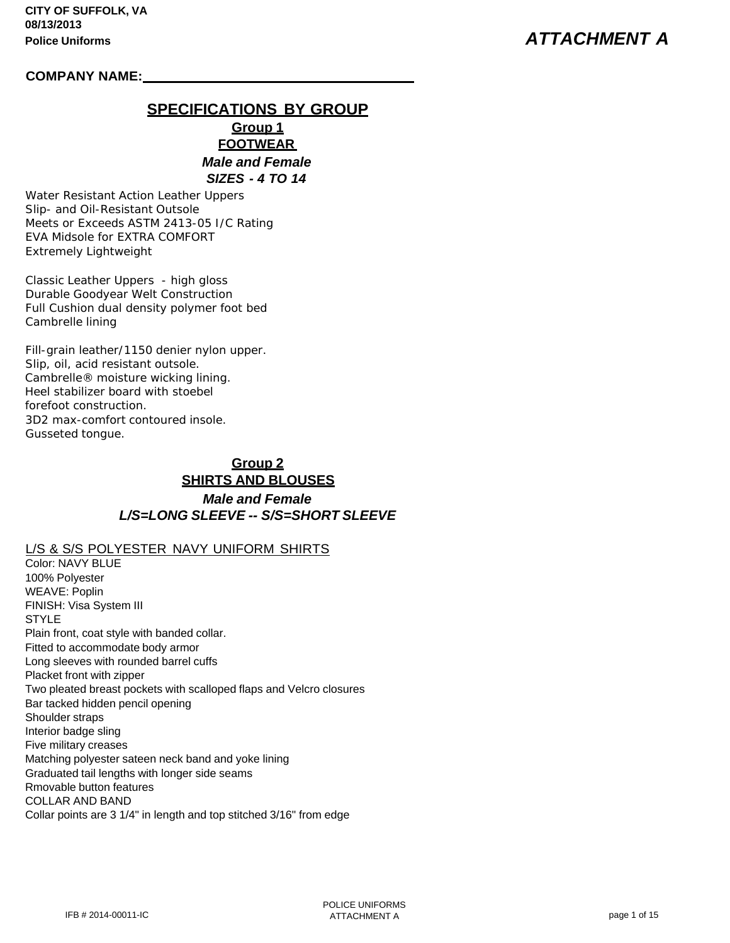### **COMPANY NAME:**

## **SPECIFICATIONS BY GROUP**

**Group 1 FOOTWEAR**  *Male and Female SIZES - 4 TO 14*

Water Resistant Action Leather Uppers Slip- and Oil-Resistant Outsole Meets or Exceeds ASTM 2413-05 I/C Rating EVA Midsole for EXTRA COMFORT Extremely Lightweight

Classic Leather Uppers - high gloss Durable Goodyear Welt Construction Full Cushion dual density polymer foot bed Cambrelle lining

Fill-grain leather/1150 denier nylon upper. Slip, oil, acid resistant outsole. Cambrelle® moisture wicking lining. Heel stabilizer board with stoebel forefoot construction. 3D2 max-comfort contoured insole. Gusseted tongue.

# **Group 2**

## **SHIRTS AND BLOUSES**  *Male and Female L/S=LONG SLEEVE -- S/S=SHORT SLEEVE*

### L/S & S/S POLYESTER NAVY UNIFORM SHIRTS

Color: NAVY BLUE 100% Polyester WEAVE: Poplin FINISH: Visa System III **STYLE** Plain front, coat style with banded collar. Fitted to accommodate body armor Long sleeves with rounded barrel cuffs Placket front with zipper Two pleated breast pockets with scalloped flaps and Velcro closures Bar tacked hidden pencil opening Shoulder straps Interior badge sling Five military creases Matching polyester sateen neck band and yoke lining Graduated tail lengths with longer side seams Rmovable button features COLLAR AND BAND Collar points are 3 1/4" in length and top stitched 3/16" from edge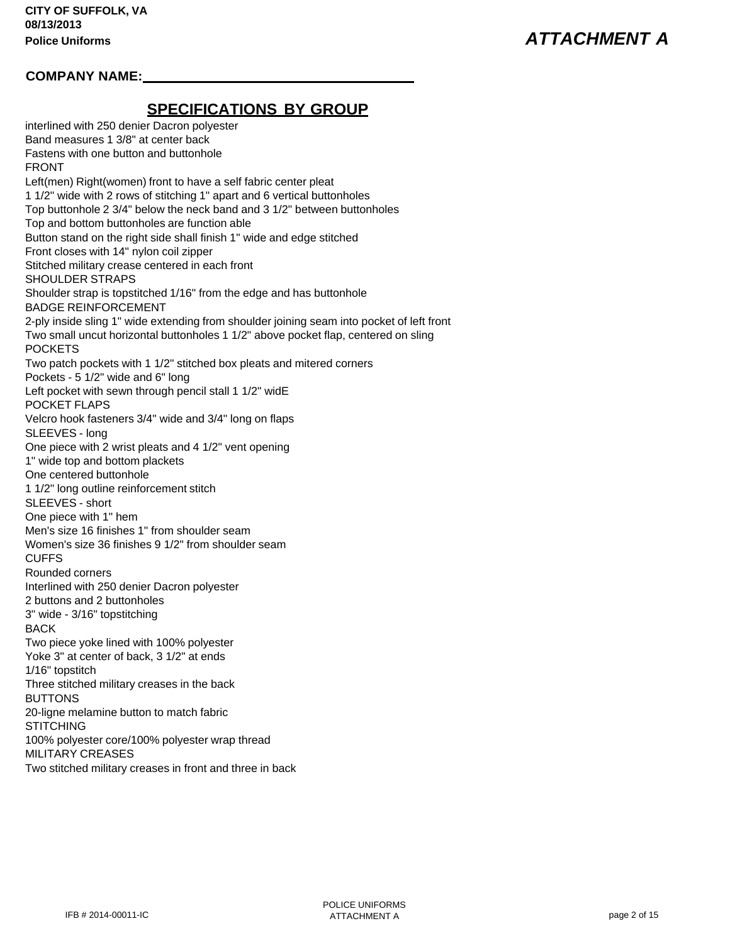## **COMPANY NAME:**

## **SPECIFICATIONS BY GROUP** interlined with 250 denier Dacron polyester

Band measures 1 3/8" at center back Fastens with one button and buttonhole FRONT Left(men) Right(women) front to have a self fabric center pleat 1 1/2" wide with 2 rows of stitching 1" apart and 6 vertical buttonholes Top buttonhole 2 3/4" below the neck band and 3 1/2" between buttonholes Top and bottom buttonholes are function able Button stand on the right side shall finish 1" wide and edge stitched Front closes with 14" nylon coil zipper Stitched military crease centered in each front SHOULDER STRAPS Shoulder strap is topstitched 1/16" from the edge and has buttonhole BADGE REINFORCEMENT 2-ply inside sling 1" wide extending from shoulder joining seam into pocket of left front Two small uncut horizontal buttonholes 1 1/2" above pocket flap, centered on sling POCKETS Two patch pockets with 1 1/2" stitched box pleats and mitered corners Pockets - 5 1/2" wide and 6" long Left pocket with sewn through pencil stall 1 1/2" widE POCKET FLAPS Velcro hook fasteners 3/4" wide and 3/4" long on flaps SLEEVES - long One piece with 2 wrist pleats and 4 1/2" vent opening 1" wide top and bottom plackets One centered buttonhole 1 1/2" long outline reinforcement stitch SLEEVES - short One piece with 1" hem Men's size 16 finishes 1" from shoulder seam Women's size 36 finishes 9 1/2" from shoulder seam CUFFS Rounded corners Interlined with 250 denier Dacron polyester 2 buttons and 2 buttonholes 3" wide - 3/16" topstitching BACK Two piece yoke lined with 100% polyester Yoke 3" at center of back, 3 1/2" at ends 1/16" topstitch Three stitched military creases in the back BUTTONS 20-ligne melamine button to match fabric **STITCHING** 100% polyester core/100% polyester wrap thread MILITARY CREASES Two stitched military creases in front and three in back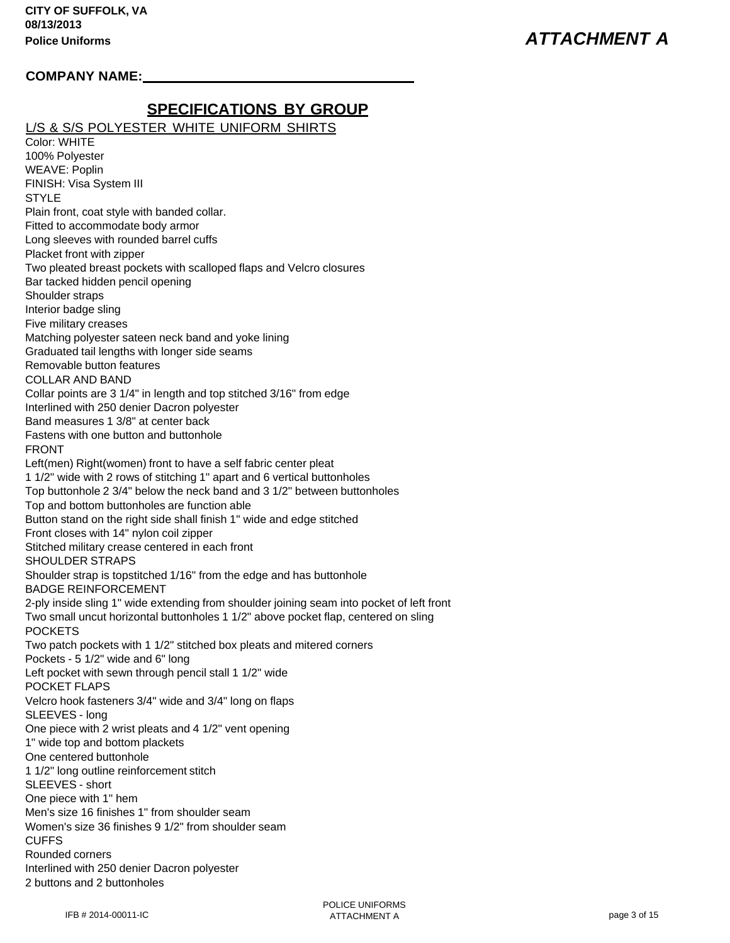## **COMPANY NAME:**

## **SPECIFICATIONS BY GROUP**

L/S & S/S POLYESTER WHITE UNIFORM SHIRTS

Color: WHITE 100% Polyester WEAVE: Poplin FINISH: Visa System III **STYLE** Plain front, coat style with banded collar. Fitted to accommodate body armor Long sleeves with rounded barrel cuffs Placket front with zipper Two pleated breast pockets with scalloped flaps and Velcro closures Bar tacked hidden pencil opening Shoulder straps Interior badge sling Five military creases Matching polyester sateen neck band and yoke lining Graduated tail lengths with longer side seams Removable button features COLLAR AND BAND Collar points are 3 1/4" in length and top stitched 3/16" from edge Interlined with 250 denier Dacron polyester Band measures 1 3/8" at center back Fastens with one button and buttonhole FRONT Left(men) Right(women) front to have a self fabric center pleat 1 1/2" wide with 2 rows of stitching 1" apart and 6 vertical buttonholes Top buttonhole 2 3/4" below the neck band and 3 1/2" between buttonholes Top and bottom buttonholes are function able Button stand on the right side shall finish 1" wide and edge stitched Front closes with 14" nylon coil zipper Stitched military crease centered in each front SHOULDER STRAPS Shoulder strap is topstitched 1/16" from the edge and has buttonhole BADGE REINFORCEMENT 2-ply inside sling 1" wide extending from shoulder joining seam into pocket of left front Two small uncut horizontal buttonholes 1 1/2" above pocket flap, centered on sling **POCKETS** Two patch pockets with 1 1/2" stitched box pleats and mitered corners Pockets - 5 1/2" wide and 6" long Left pocket with sewn through pencil stall 1 1/2" wide POCKET FLAPS Velcro hook fasteners 3/4" wide and 3/4" long on flaps SLEEVES - long One piece with 2 wrist pleats and 4 1/2" vent opening 1" wide top and bottom plackets One centered buttonhole 1 1/2" long outline reinforcement stitch SLEEVES - short One piece with 1" hem Men's size 16 finishes 1" from shoulder seam Women's size 36 finishes 9 1/2" from shoulder seam CUFFS Rounded corners Interlined with 250 denier Dacron polyester 2 buttons and 2 buttonholes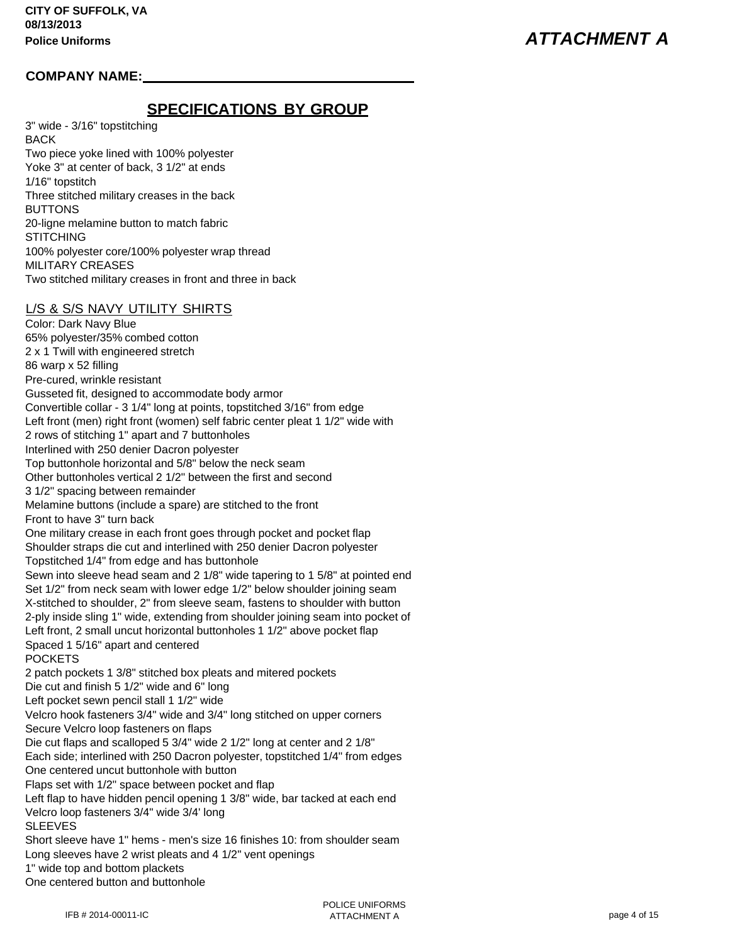## **COMPANY NAME:**

## **SPECIFICATIONS BY GROUP**

3" wide - 3/16" topstitching BACK Two piece yoke lined with 100% polyester Yoke 3" at center of back, 3 1/2" at ends 1/16" topstitch Three stitched military creases in the back BUTTONS 20-ligne melamine button to match fabric **STITCHING** 100% polyester core/100% polyester wrap thread MILITARY CREASES Two stitched military creases in front and three in back

## L/S & S/S NAVY UTILITY SHIRTS

Color: Dark Navy Blue 65% polyester/35% combed cotton 2 x 1 Twill with engineered stretch 86 warp x 52 filling Pre-cured, wrinkle resistant Gusseted fit, designed to accommodate body armor Convertible collar - 3 1/4" long at points, topstitched 3/16" from edge Left front (men) right front (women) self fabric center pleat 1 1/2" wide with 2 rows of stitching 1" apart and 7 buttonholes Interlined with 250 denier Dacron polyester Top buttonhole horizontal and 5/8" below the neck seam Other buttonholes vertical 2 1/2" between the first and second 3 1/2" spacing between remainder Melamine buttons (include a spare) are stitched to the front Front to have 3" turn back One military crease in each front goes through pocket and pocket flap Shoulder straps die cut and interlined with 250 denier Dacron polyester Topstitched 1/4" from edge and has buttonhole Sewn into sleeve head seam and 2 1/8" wide tapering to 1 5/8" at pointed end Set 1/2" from neck seam with lower edge 1/2" below shoulder joining seam X-stitched to shoulder, 2" from sleeve seam, fastens to shoulder with button 2-ply inside sling 1" wide, extending from shoulder joining seam into pocket of Left front, 2 small uncut horizontal buttonholes 1 1/2" above pocket flap Spaced 1 5/16" apart and centered **POCKETS** 2 patch pockets 1 3/8" stitched box pleats and mitered pockets Die cut and finish 5 1/2" wide and 6" long Left pocket sewn pencil stall 1 1/2" wide Velcro hook fasteners 3/4" wide and 3/4" long stitched on upper corners Secure Velcro loop fasteners on flaps Die cut flaps and scalloped 5 3/4" wide 2 1/2" long at center and 2 1/8" Each side; interlined with 250 Dacron polyester, topstitched 1/4" from edges One centered uncut buttonhole with button Flaps set with 1/2" space between pocket and flap Left flap to have hidden pencil opening 1 3/8" wide, bar tacked at each end Velcro loop fasteners 3/4" wide 3/4' long **SLEEVES** Short sleeve have 1" hems - men's size 16 finishes 10: from shoulder seam Long sleeves have 2 wrist pleats and 4 1/2" vent openings 1" wide top and bottom plackets One centered button and buttonhole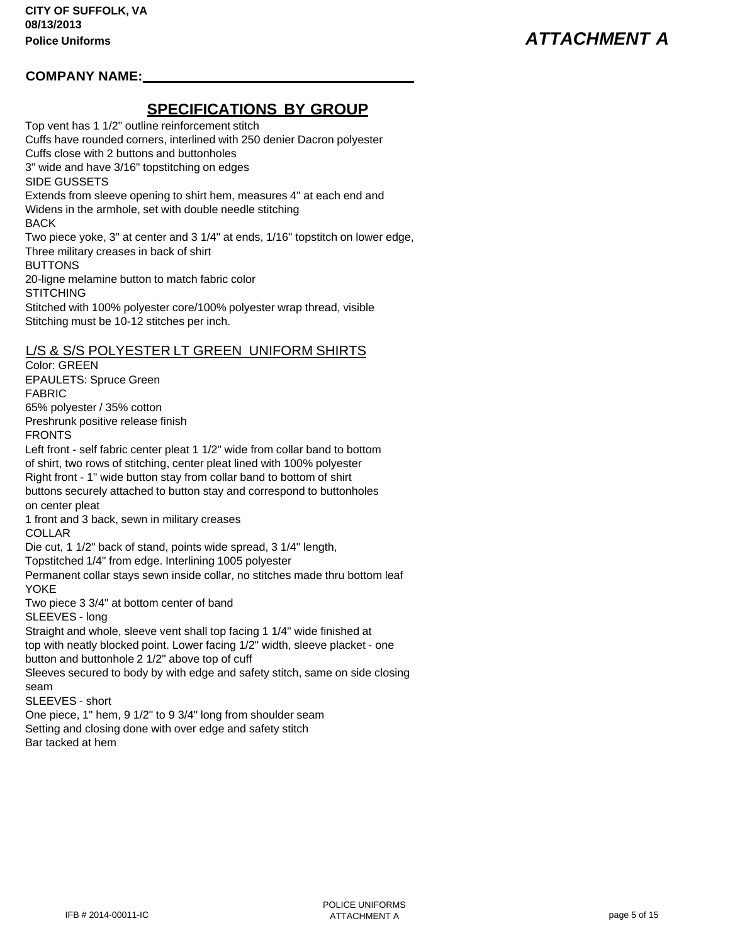## **COMPANY NAME:**

## **SPECIFICATIONS BY GROUP**

Top vent has 1 1/2" outline reinforcement stitch Cuffs have rounded corners, interlined with 250 denier Dacron polyester Cuffs close with 2 buttons and buttonholes 3" wide and have 3/16" topstitching on edges SIDE GUSSETS Extends from sleeve opening to shirt hem, measures 4" at each end and Widens in the armhole, set with double needle stitching BACK Two piece yoke, 3" at center and 3 1/4" at ends, 1/16" topstitch on lower edge, Three military creases in back of shirt BUTTONS 20-ligne melamine button to match fabric color **STITCHING** Stitched with 100% polyester core/100% polyester wrap thread, visible Stitching must be 10-12 stitches per inch.

## L/S & S/S POLYESTER LT GREEN UNIFORM SHIRTS

Color: GREEN EPAULETS: Spruce Green FABRIC 65% polyester / 35% cotton Preshrunk positive release finish FRONTS Left front - self fabric center pleat 1 1/2" wide from collar band to bottom of shirt, two rows of stitching, center pleat lined with 100% polyester Right front - 1" wide button stay from collar band to bottom of shirt buttons securely attached to button stay and correspond to buttonholes on center pleat 1 front and 3 back, sewn in military creases COLLAR Die cut, 1 1/2" back of stand, points wide spread, 3 1/4" length, Topstitched 1/4" from edge. Interlining 1005 polyester Permanent collar stays sewn inside collar, no stitches made thru bottom leaf YOKE Two piece 3 3/4" at bottom center of band SLEEVES - long Straight and whole, sleeve vent shall top facing 1 1/4" wide finished at top with neatly blocked point. Lower facing 1/2" width, sleeve placket - one button and buttonhole 2 1/2" above top of cuff Sleeves secured to body by with edge and safety stitch, same on side closing seam SLEEVES - short One piece, 1" hem, 9 1/2" to 9 3/4" long from shoulder seam

Setting and closing done with over edge and safety stitch Bar tacked at hem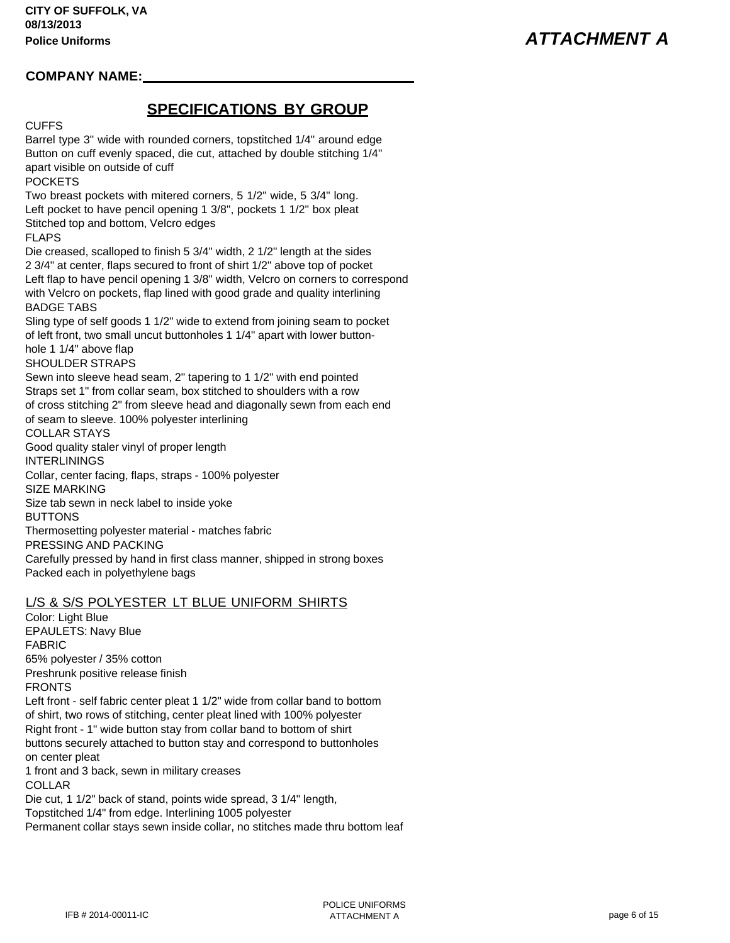## **COMPANY NAME:**

## **SPECIFICATIONS BY GROUP**

CUFFS Barrel type 3" wide with rounded corners, topstitched 1/4" around edge Button on cuff evenly spaced, die cut, attached by double stitching 1/4" apart visible on outside of cuff POCKETS Two breast pockets with mitered corners, 5 1/2" wide, 5 3/4" long. Left pocket to have pencil opening 1 3/8", pockets 1 1/2" box pleat Stitched top and bottom, Velcro edges FLAPS Die creased, scalloped to finish 5 3/4" width, 2 1/2" length at the sides 2 3/4" at center, flaps secured to front of shirt 1/2" above top of pocket Left flap to have pencil opening 1 3/8" width, Velcro on corners to correspond with Velcro on pockets, flap lined with good grade and quality interlining BADGE TABS Sling type of self goods 1 1/2" wide to extend from joining seam to pocket of left front, two small uncut buttonholes 1 1/4" apart with lower buttonhole 1 1/4" above flap SHOULDER STRAPS Sewn into sleeve head seam, 2" tapering to 1 1/2" with end pointed Straps set 1" from collar seam, box stitched to shoulders with a row of cross stitching 2" from sleeve head and diagonally sewn from each end of seam to sleeve. 100% polyester interlining COLLAR STAYS Good quality staler vinyl of proper length INTERLININGS Collar, center facing, flaps, straps - 100% polyester SIZE MARKING Size tab sewn in neck label to inside yoke **BUTTONS** Thermosetting polyester material - matches fabric PRESSING AND PACKING Carefully pressed by hand in first class manner, shipped in strong boxes Packed each in polyethylene bags

### L/S & S/S POLYESTER LT BLUE UNIFORM SHIRTS

Color: Light Blue EPAULETS: Navy Blue FABRIC 65% polyester / 35% cotton Preshrunk positive release finish FRONTS Left front - self fabric center pleat 1 1/2" wide from collar band to bottom of shirt, two rows of stitching, center pleat lined with 100% polyester Right front - 1" wide button stay from collar band to bottom of shirt buttons securely attached to button stay and correspond to buttonholes on center pleat 1 front and 3 back, sewn in military creases COLLAR Die cut, 1 1/2" back of stand, points wide spread, 3 1/4" length,

Topstitched 1/4" from edge. Interlining 1005 polyester Permanent collar stays sewn inside collar, no stitches made thru bottom leaf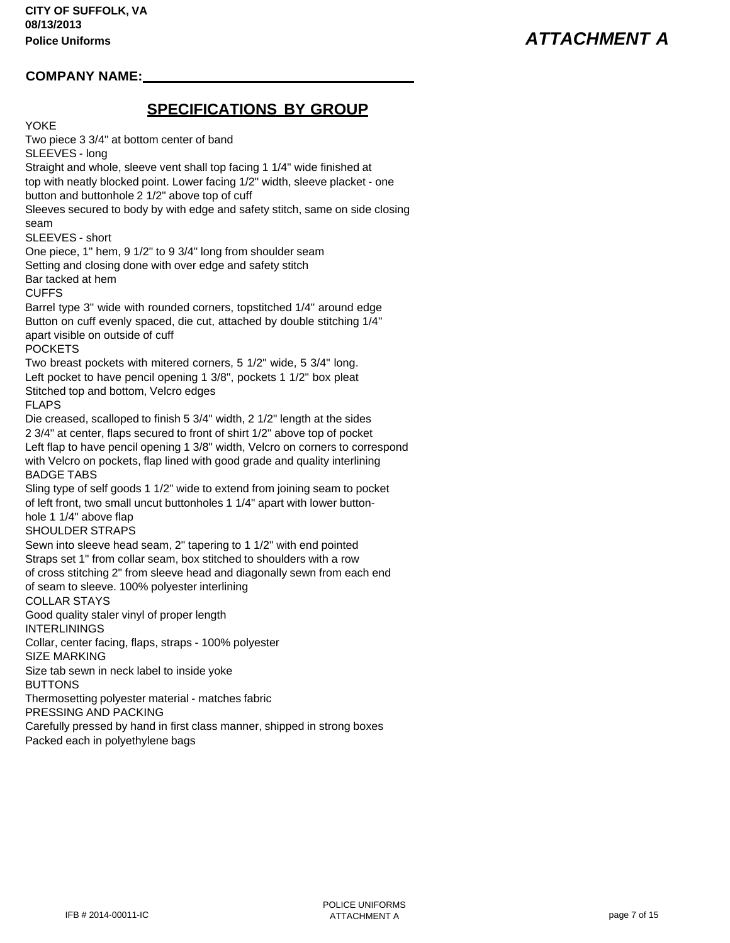## **COMPANY NAME:**

## **SPECIFICATIONS BY GROUP**

YOKE Two piece 3 3/4" at bottom center of band SLEEVES - long Straight and whole, sleeve vent shall top facing 1 1/4" wide finished at top with neatly blocked point. Lower facing 1/2" width, sleeve placket - one button and buttonhole 2 1/2" above top of cuff Sleeves secured to body by with edge and safety stitch, same on side closing seam SLEEVES - short One piece, 1" hem, 9 1/2" to 9 3/4" long from shoulder seam Setting and closing done with over edge and safety stitch Bar tacked at hem CUFFS Barrel type 3" wide with rounded corners, topstitched 1/4" around edge Button on cuff evenly spaced, die cut, attached by double stitching 1/4" apart visible on outside of cuff POCKETS Two breast pockets with mitered corners, 5 1/2" wide, 5 3/4" long. Left pocket to have pencil opening 1 3/8", pockets 1 1/2" box pleat Stitched top and bottom, Velcro edges FLAPS Die creased, scalloped to finish 5 3/4" width, 2 1/2" length at the sides 2 3/4" at center, flaps secured to front of shirt 1/2" above top of pocket Left flap to have pencil opening 1 3/8" width, Velcro on corners to correspond with Velcro on pockets, flap lined with good grade and quality interlining BADGE TABS Sling type of self goods 1 1/2" wide to extend from joining seam to pocket of left front, two small uncut buttonholes 1 1/4" apart with lower buttonhole 1 1/4" above flap SHOULDER STRAPS Sewn into sleeve head seam, 2" tapering to 1 1/2" with end pointed Straps set 1" from collar seam, box stitched to shoulders with a row of cross stitching 2" from sleeve head and diagonally sewn from each end of seam to sleeve. 100% polyester interlining COLLAR STAYS Good quality staler vinyl of proper length INTERLININGS Collar, center facing, flaps, straps - 100% polyester SIZE MARKING Size tab sewn in neck label to inside yoke BUTTONS Thermosetting polyester material - matches fabric PRESSING AND PACKING Carefully pressed by hand in first class manner, shipped in strong boxes Packed each in polyethylene bags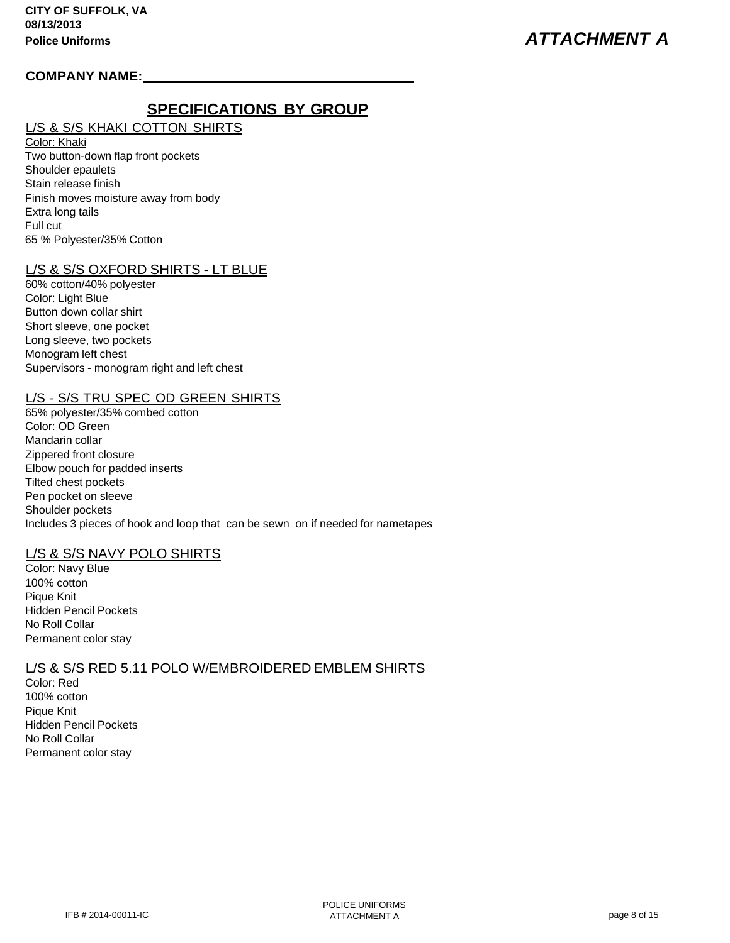## **COMPANY NAME:**

# **SPECIFICATIONS BY GROUP**

## L/S & S/S KHAKI COTTON SHIRTS

Color: Khaki Two button-down flap front pockets Shoulder epaulets Stain release finish Finish moves moisture away from body Extra long tails Full cut 65 % Polyester/35% Cotton

## L/S & S/S OXFORD SHIRTS - LT BLUE

60% cotton/40% polyester Color: Light Blue Button down collar shirt Short sleeve, one pocket Long sleeve, two pockets Monogram left chest Supervisors - monogram right and left chest

## L/S - S/S TRU SPEC OD GREEN SHIRTS

65% polyester/35% combed cotton Color: OD Green Mandarin collar Zippered front closure Elbow pouch for padded inserts Tilted chest pockets Pen pocket on sleeve Shoulder pockets Includes 3 pieces of hook and loop that can be sewn on if needed for nametapes

## L/S & S/S NAVY POLO SHIRTS

Color: Navy Blue 100% cotton Pique Knit Hidden Pencil Pockets No Roll Collar Permanent color stay

## L/S & S/S RED 5.11 POLO W/EMBROIDERED EMBLEM SHIRTS

Color: Red 100% cotton Pique Knit Hidden Pencil Pockets No Roll Collar Permanent color stay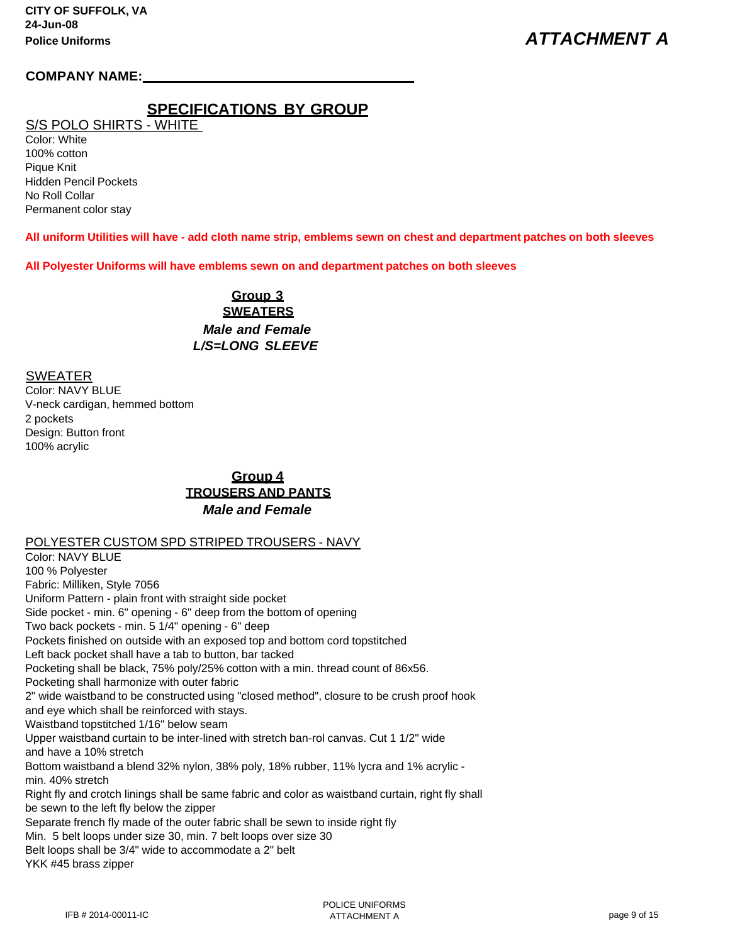## **COMPANY NAME:**

# **SPECIFICATIONS BY GROUP**

## S/S POLO SHIRTS - WHITE

Color: White 100% cotton Pique Knit Hidden Pencil Pockets No Roll Collar Permanent color stay

**All uniform Utilities will have - add cloth name strip, emblems sewn on chest and department patches on both sleeves**

**All Polyester Uniforms will have emblems sewn on and department patches on both sleeves**

#### **Group 3 SWEATERS**

*Male and Female L/S=LONG SLEEVE*

#### SWEATER

Color: NAVY BLUE V-neck cardigan, hemmed bottom 2 pockets Design: Button front 100% acrylic

## **Group 4 TROUSERS AND PANTS**  *Male and Female*

### POLYESTER CUSTOM SPD STRIPED TROUSERS - NAVY

Color: NAVY BLUE 100 % Polyester Fabric: Milliken, Style 7056 Uniform Pattern - plain front with straight side pocket Side pocket - min. 6" opening - 6" deep from the bottom of opening Two back pockets - min. 5 1/4" opening - 6" deep Pockets finished on outside with an exposed top and bottom cord topstitched Left back pocket shall have a tab to button, bar tacked Pocketing shall be black, 75% poly/25% cotton with a min. thread count of 86x56. Pocketing shall harmonize with outer fabric 2" wide waistband to be constructed using "closed method", closure to be crush proof hook and eye which shall be reinforced with stays. Waistband topstitched 1/16" below seam Upper waistband curtain to be inter-lined with stretch ban-rol canvas. Cut 1 1/2" wide and have a 10% stretch Bottom waistband a blend 32% nylon, 38% poly, 18% rubber, 11% lycra and 1% acrylic min. 40% stretch Right fly and crotch linings shall be same fabric and color as waistband curtain, right fly shall be sewn to the left fly below the zipper Separate french fly made of the outer fabric shall be sewn to inside right fly Min. 5 belt loops under size 30, min. 7 belt loops over size 30 Belt loops shall be 3/4" wide to accommodate a 2" belt YKK #45 brass zipper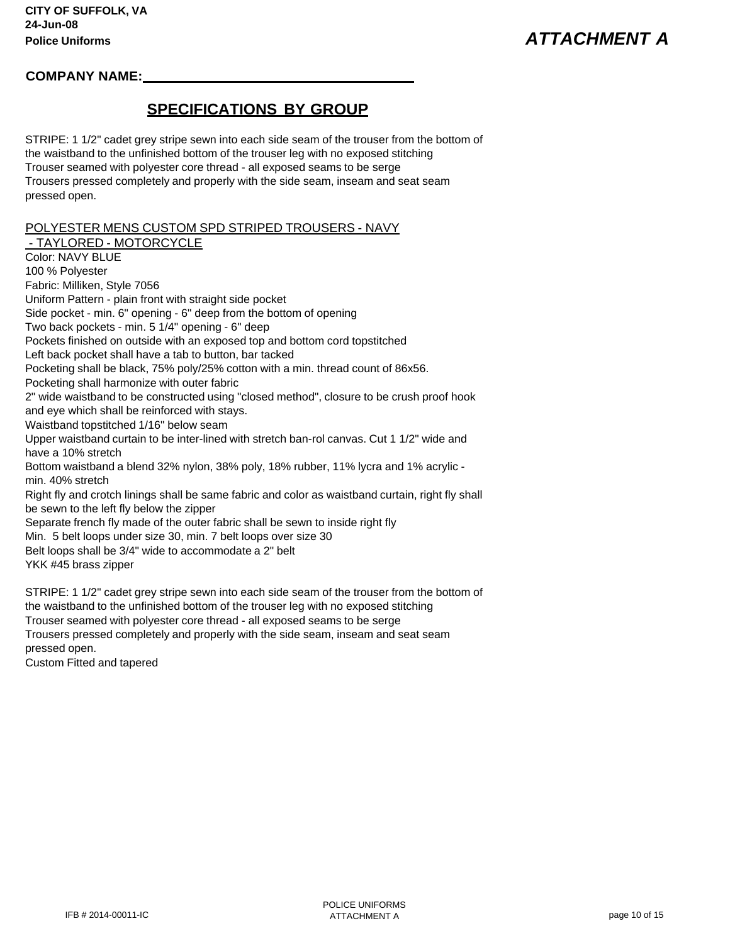## **COMPANY NAME:**

## **SPECIFICATIONS BY GROUP**

STRIPE: 1 1/2" cadet grey stripe sewn into each side seam of the trouser from the bottom of the waistband to the unfinished bottom of the trouser leg with no exposed stitching Trouser seamed with polyester core thread - all exposed seams to be serge Trousers pressed completely and properly with the side seam, inseam and seat seam pressed open.

POLYESTER MENS CUSTOM SPD STRIPED TROUSERS - NAVY

- TAYLORED - MOTORCYCLE Color: NAVY BLUE 100 % Polyester Fabric: Milliken, Style 7056 Uniform Pattern - plain front with straight side pocket Side pocket - min. 6" opening - 6" deep from the bottom of opening Two back pockets - min. 5 1/4" opening - 6" deep Pockets finished on outside with an exposed top and bottom cord topstitched Left back pocket shall have a tab to button, bar tacked Pocketing shall be black, 75% poly/25% cotton with a min. thread count of 86x56. Pocketing shall harmonize with outer fabric 2" wide waistband to be constructed using "closed method", closure to be crush proof hook and eye which shall be reinforced with stays. Waistband topstitched 1/16" below seam Upper waistband curtain to be inter-lined with stretch ban-rol canvas. Cut 1 1/2" wide and have a 10% stretch Bottom waistband a blend 32% nylon, 38% poly, 18% rubber, 11% lycra and 1% acrylic min. 40% stretch Right fly and crotch linings shall be same fabric and color as waistband curtain, right fly shall be sewn to the left fly below the zipper Separate french fly made of the outer fabric shall be sewn to inside right fly Min. 5 belt loops under size 30, min. 7 belt loops over size 30 Belt loops shall be 3/4" wide to accommodate a 2" belt YKK #45 brass zipper

STRIPE: 1 1/2" cadet grey stripe sewn into each side seam of the trouser from the bottom of the waistband to the unfinished bottom of the trouser leg with no exposed stitching Trouser seamed with polyester core thread - all exposed seams to be serge Trousers pressed completely and properly with the side seam, inseam and seat seam pressed open. Custom Fitted and tapered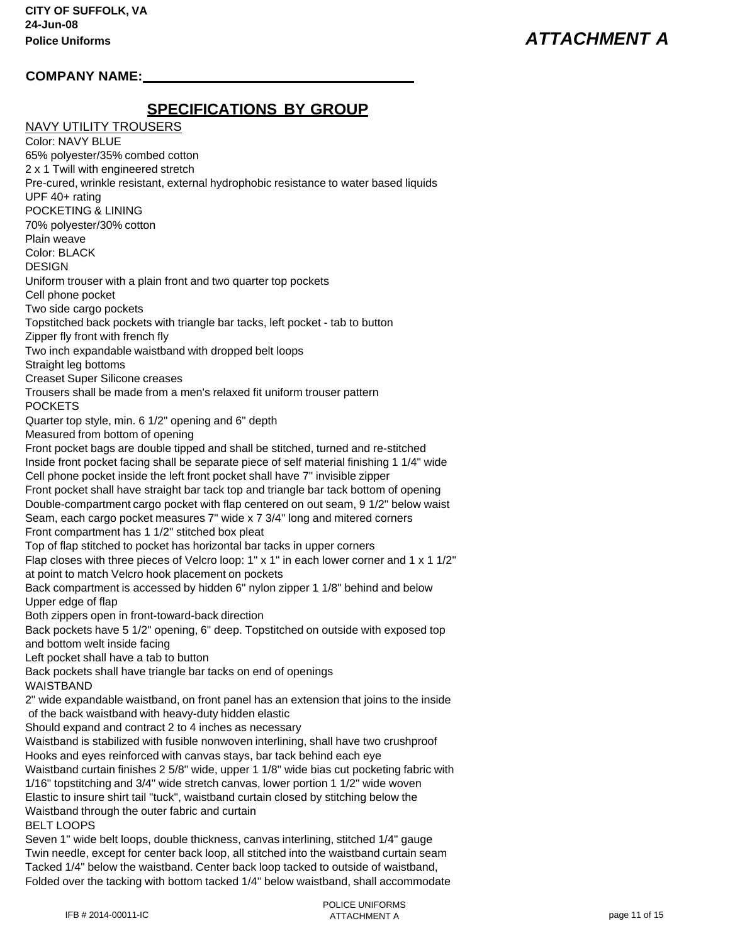## **COMPANY NAME:**

# **SPECIFICATIONS BY GROUP**

|  |  |  |  |  |  |  |  |  | <b>NAVY UTILITY TROUSERS</b> |  |  |  |
|--|--|--|--|--|--|--|--|--|------------------------------|--|--|--|
|  |  |  |  |  |  |  |  |  |                              |  |  |  |

| <u>INAVI UTILITTI INVUJENJ</u>                                                                                                                                                |
|-------------------------------------------------------------------------------------------------------------------------------------------------------------------------------|
| Color: NAVY BLUE                                                                                                                                                              |
| 65% polyester/35% combed cotton                                                                                                                                               |
| 2 x 1 Twill with engineered stretch                                                                                                                                           |
| Pre-cured, wrinkle resistant, external hydrophobic resistance to water based liquids                                                                                          |
| UPF 40+ rating                                                                                                                                                                |
| POCKETING & LINING                                                                                                                                                            |
| 70% polyester/30% cotton                                                                                                                                                      |
| Plain weave                                                                                                                                                                   |
| Color: BLACK                                                                                                                                                                  |
| <b>DESIGN</b>                                                                                                                                                                 |
| Uniform trouser with a plain front and two quarter top pockets                                                                                                                |
| Cell phone pocket                                                                                                                                                             |
| Two side cargo pockets                                                                                                                                                        |
| Topstitched back pockets with triangle bar tacks, left pocket - tab to button                                                                                                 |
| Zipper fly front with french fly                                                                                                                                              |
| Two inch expandable waistband with dropped belt loops                                                                                                                         |
| Straight leg bottoms                                                                                                                                                          |
| <b>Creaset Super Silicone creases</b>                                                                                                                                         |
| Trousers shall be made from a men's relaxed fit uniform trouser pattern<br><b>POCKETS</b>                                                                                     |
| Quarter top style, min. 6 1/2" opening and 6" depth                                                                                                                           |
| Measured from bottom of opening                                                                                                                                               |
| Front pocket bags are double tipped and shall be stitched, turned and re-stitched                                                                                             |
| Inside front pocket facing shall be separate piece of self material finishing 1 1/4" wide                                                                                     |
| Cell phone pocket inside the left front pocket shall have 7" invisible zipper                                                                                                 |
| Front pocket shall have straight bar tack top and triangle bar tack bottom of opening                                                                                         |
| Double-compartment cargo pocket with flap centered on out seam, 9 1/2" below waist                                                                                            |
| Seam, each cargo pocket measures 7" wide x 7 3/4" long and mitered corners                                                                                                    |
| Front compartment has 1 1/2" stitched box pleat                                                                                                                               |
| Top of flap stitched to pocket has horizontal bar tacks in upper corners                                                                                                      |
| Flap closes with three pieces of Velcro loop: 1" x 1" in each lower corner and 1 x 1 1/2"                                                                                     |
| at point to match Velcro hook placement on pockets                                                                                                                            |
| Back compartment is accessed by hidden 6" nylon zipper 1 1/8" behind and below                                                                                                |
| Upper edge of flap                                                                                                                                                            |
| Both zippers open in front-toward-back direction                                                                                                                              |
| Back pockets have 5 1/2" opening, 6" deep. Topstitched on outside with exposed top                                                                                            |
| and bottom welt inside facing                                                                                                                                                 |
| Left pocket shall have a tab to button                                                                                                                                        |
| Back pockets shall have triangle bar tacks on end of openings                                                                                                                 |
| <b>WAISTBAND</b>                                                                                                                                                              |
| 2" wide expandable waistband, on front panel has an extension that joins to the inside                                                                                        |
| of the back waistband with heavy-duty hidden elastic                                                                                                                          |
| Should expand and contract 2 to 4 inches as necessary                                                                                                                         |
| Waistband is stabilized with fusible nonwoven interlining, shall have two crushproof                                                                                          |
| Hooks and eyes reinforced with canvas stays, bar tack behind each eye                                                                                                         |
| Waistband curtain finishes 2 5/8" wide, upper 1 1/8" wide bias cut pocketing fabric with                                                                                      |
| 1/16" topstitching and 3/4" wide stretch canvas, lower portion 1 1/2" wide woven                                                                                              |
| Elastic to insure shirt tail "tuck", waistband curtain closed by stitching below the                                                                                          |
| Waistband through the outer fabric and curtain                                                                                                                                |
| <b>BELT LOOPS</b>                                                                                                                                                             |
| Seven 1" wide belt loops, double thickness, canvas interlining, stitched 1/4" gauge<br>Twin needle, except for center back loop, all stitched into the waistband curtain seam |

Tacked 1/4" below the waistband. Center back loop tacked to outside of waistband, Folded over the tacking with bottom tacked 1/4" below waistband, shall accommodate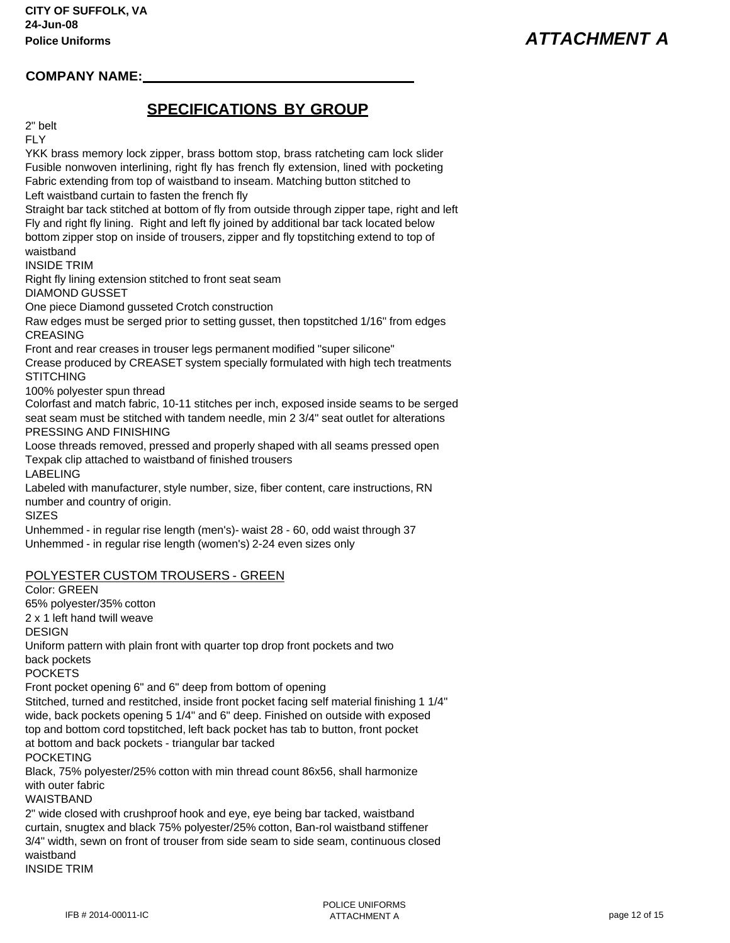## **COMPANY NAME:**

## **SPECIFICATIONS BY GROUP**

2" belt

#### FLY

YKK brass memory lock zipper, brass bottom stop, brass ratcheting cam lock slider Fusible nonwoven interlining, right fly has french fly extension, lined with pocketing Fabric extending from top of waistband to inseam. Matching button stitched to Left waistband curtain to fasten the french fly Straight bar tack stitched at bottom of fly from outside through zipper tape, right and left Fly and right fly lining. Right and left fly joined by additional bar tack located below bottom zipper stop on inside of trousers, zipper and fly topstitching extend to top of waistband INSIDE TRIM Right fly lining extension stitched to front seat seam DIAMOND GUSSET One piece Diamond gusseted Crotch construction Raw edges must be serged prior to setting gusset, then topstitched 1/16" from edges CREASING Front and rear creases in trouser legs permanent modified "super silicone" Crease produced by CREASET system specially formulated with high tech treatments **STITCHING** 100% polyester spun thread Colorfast and match fabric, 10-11 stitches per inch, exposed inside seams to be serged seat seam must be stitched with tandem needle, min 2 3/4" seat outlet for alterations PRESSING AND FINISHING Loose threads removed, pressed and properly shaped with all seams pressed open Texpak clip attached to waistband of finished trousers LABELING Labeled with manufacturer, style number, size, fiber content, care instructions, RN number and country of origin. **SIZES** Unhemmed - in regular rise length (men's)- waist 28 - 60, odd waist through 37 Unhemmed - in regular rise length (women's) 2-24 even sizes only POLYESTER CUSTOM TROUSERS - GREEN Color: GREEN 65% polyester/35% cotton 2 x 1 left hand twill weave DESIGN Uniform pattern with plain front with quarter top drop front pockets and two back pockets POCKETS Front pocket opening 6" and 6" deep from bottom of opening Stitched, turned and restitched, inside front pocket facing self material finishing 1 1/4" wide, back pockets opening 5 1/4" and 6" deep. Finished on outside with exposed top and bottom cord topstitched, left back pocket has tab to button, front pocket at bottom and back pockets - triangular bar tacked POCKETING Black, 75% polyester/25% cotton with min thread count 86x56, shall harmonize with outer fabric WAISTBAND 2" wide closed with crushproof hook and eye, eye being bar tacked, waistband curtain, snugtex and black 75% polyester/25% cotton, Ban-rol waistband stiffener 3/4" width, sewn on front of trouser from side seam to side seam, continuous closed

waistband INSIDE TRIM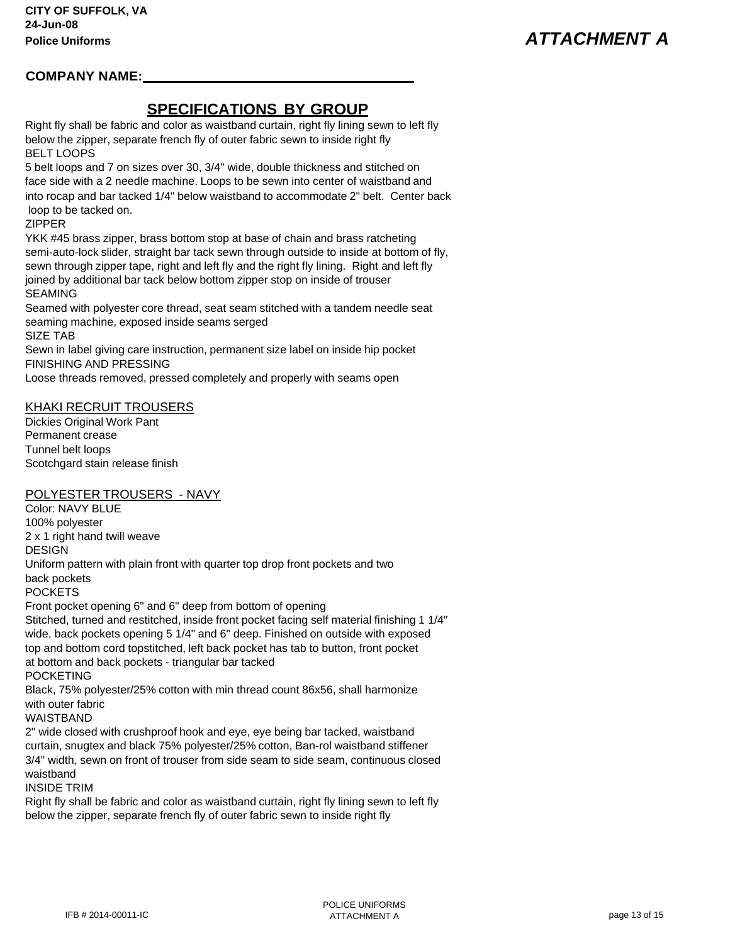## **COMPANY NAME:**

## **SPECIFICATIONS BY GROUP**

Right fly shall be fabric and color as waistband curtain, right fly lining sewn to left fly below the zipper, separate french fly of outer fabric sewn to inside right fly BELT LOOPS

5 belt loops and 7 on sizes over 30, 3/4" wide, double thickness and stitched on face side with a 2 needle machine. Loops to be sewn into center of waistband and into rocap and bar tacked 1/4" below waistband to accommodate 2" belt. Center back loop to be tacked on.

### ZIPPER

YKK #45 brass zipper, brass bottom stop at base of chain and brass ratcheting semi-auto-lock slider, straight bar tack sewn through outside to inside at bottom of fly, sewn through zipper tape, right and left fly and the right fly lining. Right and left fly joined by additional bar tack below bottom zipper stop on inside of trouser SEAMING

Seamed with polyester core thread, seat seam stitched with a tandem needle seat seaming machine, exposed inside seams serged

SIZE TAB

Sewn in label giving care instruction, permanent size label on inside hip pocket FINISHING AND PRESSING

Loose threads removed, pressed completely and properly with seams open

## KHAKI RECRUIT TROUSERS

Dickies Original Work Pant Permanent crease Tunnel belt loops Scotchgard stain release finish

### POLYESTER TROUSERS - NAVY

Color: NAVY BLUE 100% polyester 2 x 1 right hand twill weave DESIGN Uniform pattern with plain front with quarter top drop front pockets and two back pockets POCKETS Front pocket opening 6" and 6" deep from bottom of opening Stitched, turned and restitched, inside front pocket facing self material finishing 1 1/4" wide, back pockets opening 5 1/4" and 6" deep. Finished on outside with exposed top and bottom cord topstitched, left back pocket has tab to button, front pocket at bottom and back pockets - triangular bar tacked POCKETING Black, 75% polyester/25% cotton with min thread count 86x56, shall harmonize with outer fabric **WAISTRAND** 2" wide closed with crushproof hook and eye, eye being bar tacked, waistband curtain, snugtex and black 75% polyester/25% cotton, Ban-rol waistband stiffener 3/4" width, sewn on front of trouser from side seam to side seam, continuous closed waistband

INSIDE TRIM

Right fly shall be fabric and color as waistband curtain, right fly lining sewn to left fly below the zipper, separate french fly of outer fabric sewn to inside right fly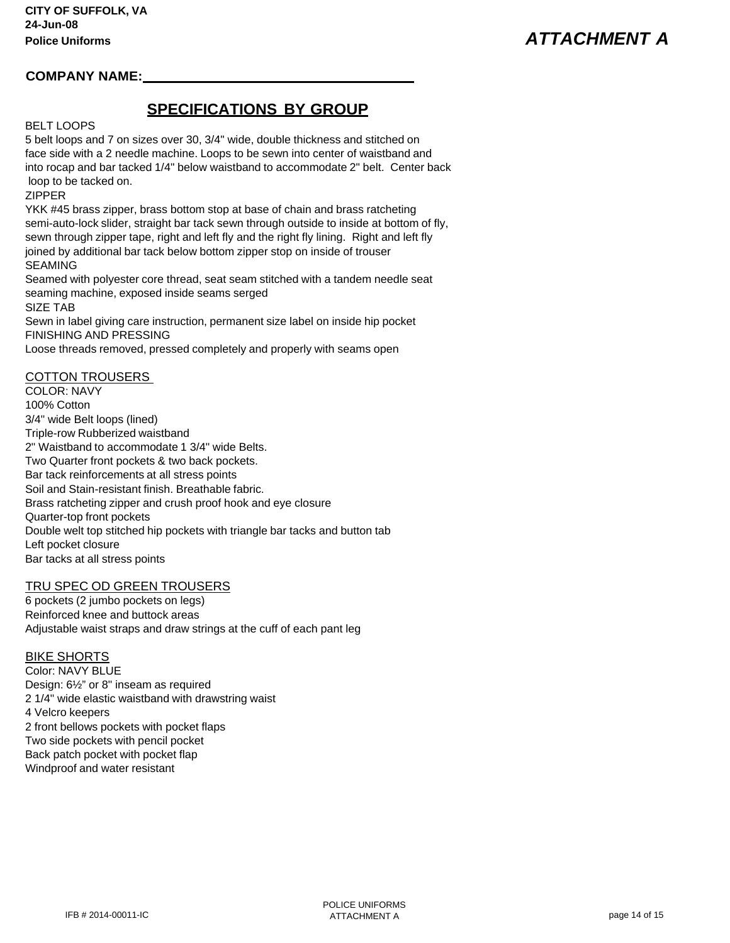## **COMPANY NAME:**

# **SPECIFICATIONS BY GROUP**

### BELT LOOPS

5 belt loops and 7 on sizes over 30, 3/4" wide, double thickness and stitched on face side with a 2 needle machine. Loops to be sewn into center of waistband and into rocap and bar tacked 1/4" below waistband to accommodate 2" belt. Center back loop to be tacked on.

ZIPPER

YKK #45 brass zipper, brass bottom stop at base of chain and brass ratcheting semi-auto-lock slider, straight bar tack sewn through outside to inside at bottom of fly, sewn through zipper tape, right and left fly and the right fly lining. Right and left fly joined by additional bar tack below bottom zipper stop on inside of trouser SEAMING

Seamed with polyester core thread, seat seam stitched with a tandem needle seat seaming machine, exposed inside seams serged SIZE TAB

Sewn in label giving care instruction, permanent size label on inside hip pocket FINISHING AND PRESSING

Loose threads removed, pressed completely and properly with seams open

### COTTON TROUSERS

COLOR: NAVY 100% Cotton 3/4" wide Belt loops (lined) Triple-row Rubberized waistband 2" Waistband to accommodate 1 3/4" wide Belts. Two Quarter front pockets & two back pockets. Bar tack reinforcements at all stress points Soil and Stain-resistant finish. Breathable fabric. Brass ratcheting zipper and crush proof hook and eye closure Quarter-top front pockets Double welt top stitched hip pockets with triangle bar tacks and button tab Left pocket closure Bar tacks at all stress points

#### TRU SPEC OD GREEN TROUSERS

6 pockets (2 jumbo pockets on legs) Reinforced knee and buttock areas Adjustable waist straps and draw strings at the cuff of each pant leg

### BIKE SHORTS

Color: NAVY BLUE Design: 6½" or 8" inseam as required 2 1/4" wide elastic waistband with drawstring waist 4 Velcro keepers 2 front bellows pockets with pocket flaps Two side pockets with pencil pocket Back patch pocket with pocket flap Windproof and water resistant